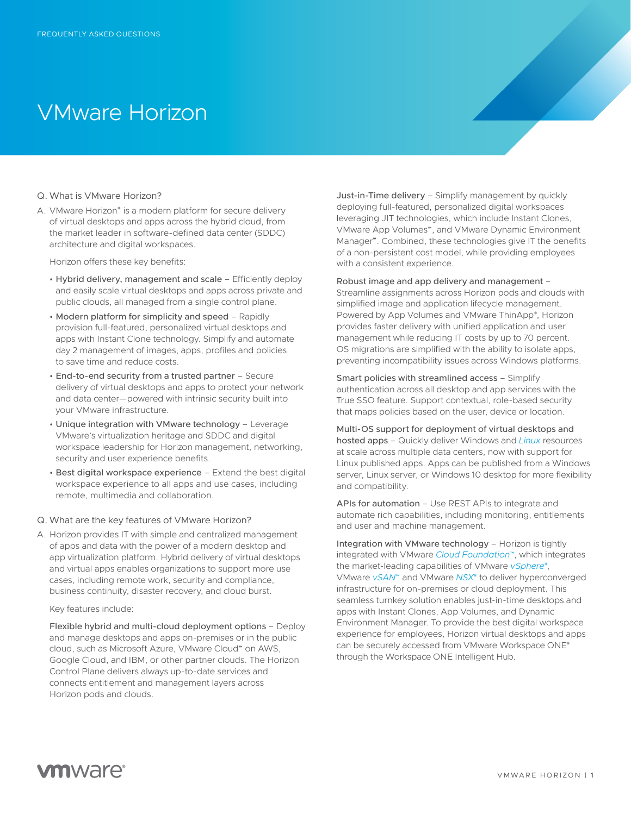# VMware Horizon

#### Q. What is VMware Horizon?

A. VMware Horizon® is a modern platform for secure delivery of virtual desktops and apps across the hybrid cloud, from the market leader in software-defined data center (SDDC) architecture and digital workspaces.

Horizon offers these key benefits:

- Hybrid delivery, management and scale Efficiently deploy and easily scale virtual desktops and apps across private and public clouds, all managed from a single control plane.
- Modern platform for simplicity and speed Rapidly provision full-featured, personalized virtual desktops and apps with Instant Clone technology. Simplify and automate day 2 management of images, apps, profiles and policies to save time and reduce costs.
- End-to-end security from a trusted partner Secure delivery of virtual desktops and apps to protect your network and data center—powered with intrinsic security built into your VMware infrastructure.
- Unique integration with VMware technology Leverage VMware's virtualization heritage and SDDC and digital workspace leadership for Horizon management, networking, security and user experience benefits.
- Best digital workspace experience Extend the best digital workspace experience to all apps and use cases, including remote, multimedia and collaboration.

## Q. What are the key features of VMware Horizon?

A. Horizon provides IT with simple and centralized management of apps and data with the power of a modern desktop and app virtualization platform. Hybrid delivery of virtual desktops and virtual apps enables organizations to support more use cases, including remote work, security and compliance, business continuity, disaster recovery, and cloud burst.

#### Key features include:

Flexible hybrid and multi-cloud deployment options – Deploy and manage desktops and apps on-premises or in the public cloud, such as Microsoft Azure, VMware Cloud™ on AWS, Google Cloud, and IBM, or other partner clouds. The Horizon Control Plane delivers always up-to-date services and connects entitlement and management layers across Horizon pods and clouds.

Just-in-Time delivery – Simplify management by quickly deploying full-featured, personalized digital workspaces leveraging JIT technologies, which include Instant Clones, VMware App Volumes™, and VMware Dynamic Environment Manager™. Combined, these technologies give IT the benefits of a non-persistent cost model, while providing employees with a consistent experience.

## Robust image and app delivery and management –

Streamline assignments across Horizon pods and clouds with simplified image and application lifecycle management. Powered by App Volumes and VMware ThinApp®, Horizon provides faster delivery with unified application and user management while reducing IT costs by up to 70 percent. OS migrations are simplified with the ability to isolate apps, preventing incompatibility issues across Windows platforms.

Smart policies with streamlined access – Simplify authentication across all desktop and app services with the True SSO feature. Support contextual, role-based security that maps policies based on the user, device or location.

Multi-OS support for deployment of virtual desktops and hosted apps – Quickly deliver Windows and *[Linux](https://www.vmware.com/products/horizon/horizon-linux.html)* resources at scale across multiple data centers, now with support for Linux published apps. Apps can be published from a Windows server, Linux server, or Windows 10 desktop for more flexibility and compatibility.

APIs for automation – Use REST APIs to integrate and automate rich capabilities, including monitoring, entitlements and user and machine management.

Integration with VMware technology – Horizon is tightly integrated with VMware *[Cloud Foundation](https://www.vmware.com/products/horizon/horizon-cloud-foundation.html)*™, which integrates the market-leading capabilities of VMware *[vSphere](https://www.vmware.com/products/vsphere.html)*® , VMware *[vSAN](https://www.vmware.com/products/vsan.html)*™ and VMware *[NSX](https://www.vmware.com/products/nsx.html)*® to deliver hyperconverged infrastructure for on-premises or cloud deployment. This seamless turnkey solution enables just-in-time desktops and apps with Instant Clones, App Volumes, and Dynamic Environment Manager. To provide the best digital workspace experience for employees, Horizon virtual desktops and apps can be securely accessed from VMware Workspace ONE® through the Workspace ONE Intelligent Hub.

## **vm**ware<sup>®</sup>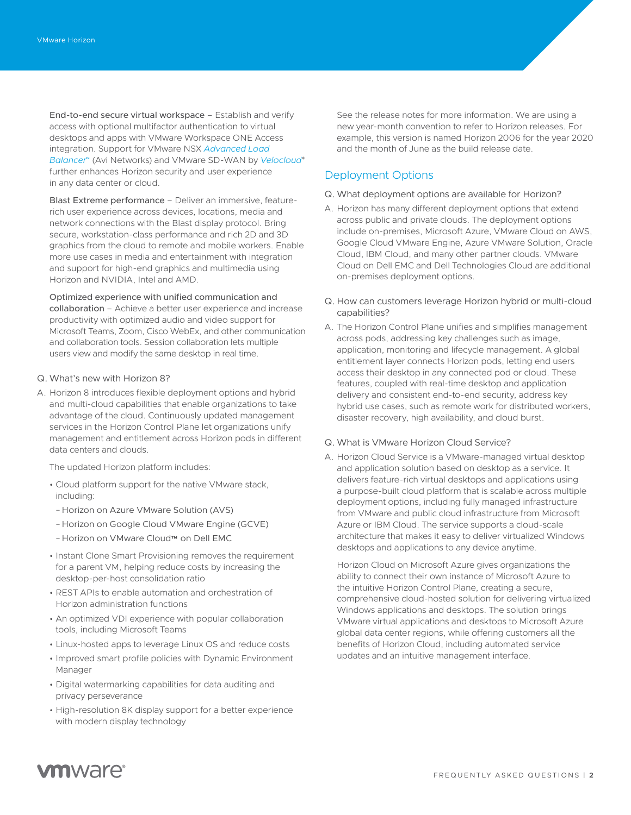End-to-end secure virtual workspace – Establish and verify access with optional multifactor authentication to virtual desktops and apps with VMware Workspace ONE Access integration. Support for VMware NSX *[Advanced Load](https://avinetworks.com/vmware-horizon/)  [Balancer](https://avinetworks.com/vmware-horizon/)*™ (Avi Networks) and VMware SD-WAN by *[Velocloud](https://www.velocloud.com/)*® further enhances Horizon security and user experience in any data center or cloud.

Blast Extreme performance – Deliver an immersive, featurerich user experience across devices, locations, media and network connections with the Blast display protocol. Bring secure, workstation-class performance and rich 2D and 3D graphics from the cloud to remote and mobile workers. Enable more use cases in media and entertainment with integration and support for high-end graphics and multimedia using Horizon and NVIDIA, Intel and AMD.

Optimized experience with unified communication and collaboration – Achieve a better user experience and increase productivity with optimized audio and video support for Microsoft Teams, Zoom, Cisco WebEx, and other communication and collaboration tools. Session collaboration lets multiple users view and modify the same desktop in real time.

## Q. What's new with Horizon 8?

A. Horizon 8 introduces flexible deployment options and hybrid and multi-cloud capabilities that enable organizations to take advantage of the cloud. Continuously updated management services in the Horizon Control Plane let organizations unify management and entitlement across Horizon pods in different data centers and clouds.

The updated Horizon platform includes:

- Cloud platform support for the native VMware stack, including:
- Horizon on Azure VMware Solution (AVS)
- Horizon on Google Cloud VMware Engine (GCVE)
- Horizon on VMware Cloud™ on Dell EMC
- Instant Clone Smart Provisioning removes the requirement for a parent VM, helping reduce costs by increasing the desktop-per-host consolidation ratio
- REST APIs to enable automation and orchestration of Horizon administration functions
- An optimized VDI experience with popular collaboration tools, including Microsoft Teams
- Linux-hosted apps to leverage Linux OS and reduce costs
- Improved smart profile policies with Dynamic Environment Manager
- Digital watermarking capabilities for data auditing and privacy perseverance
- High-resolution 8K display support for a better experience with modern display technology

See the release notes for more information. We are using a new year-month convention to refer to Horizon releases. For example, this version is named Horizon 2006 for the year 2020 and the month of June as the build release date.

## Deployment Options

### Q. What deployment options are available for Horizon?

- A. Horizon has many different deployment options that extend across public and private clouds. The deployment options include on-premises, Microsoft Azure, VMware Cloud on AWS, Google Cloud VMware Engine, Azure VMware Solution, Oracle Cloud, IBM Cloud, and many other partner clouds. VMware Cloud on Dell EMC and Dell Technologies Cloud are additional on-premises deployment options.
- Q. How can customers leverage Horizon hybrid or multi-cloud capabilities?
- A. The Horizon Control Plane unifies and simplifies management across pods, addressing key challenges such as image, application, monitoring and lifecycle management. A global entitlement layer connects Horizon pods, letting end users access their desktop in any connected pod or cloud. These features, coupled with real-time desktop and application delivery and consistent end-to-end security, address key hybrid use cases, such as remote work for distributed workers, disaster recovery, high availability, and cloud burst.

### Q. What is VMware Horizon Cloud Service?

A. Horizon Cloud Service is a VMware-managed virtual desktop and application solution based on desktop as a service. It delivers feature-rich virtual desktops and applications using a purpose-built cloud platform that is scalable across multiple deployment options, including fully managed infrastructure from VMware and public cloud infrastructure from Microsoft Azure or IBM Cloud. The service supports a cloud-scale architecture that makes it easy to deliver virtualized Windows desktops and applications to any device anytime.

Horizon Cloud on Microsoft Azure gives organizations the ability to connect their own instance of Microsoft Azure to the intuitive Horizon Control Plane, creating a secure, comprehensive cloud-hosted solution for delivering virtualized Windows applications and desktops. The solution brings VMware virtual applications and desktops to Microsoft Azure global data center regions, while offering customers all the benefits of Horizon Cloud, including automated service updates and an intuitive management interface.

## **vm**ware<sup>®</sup>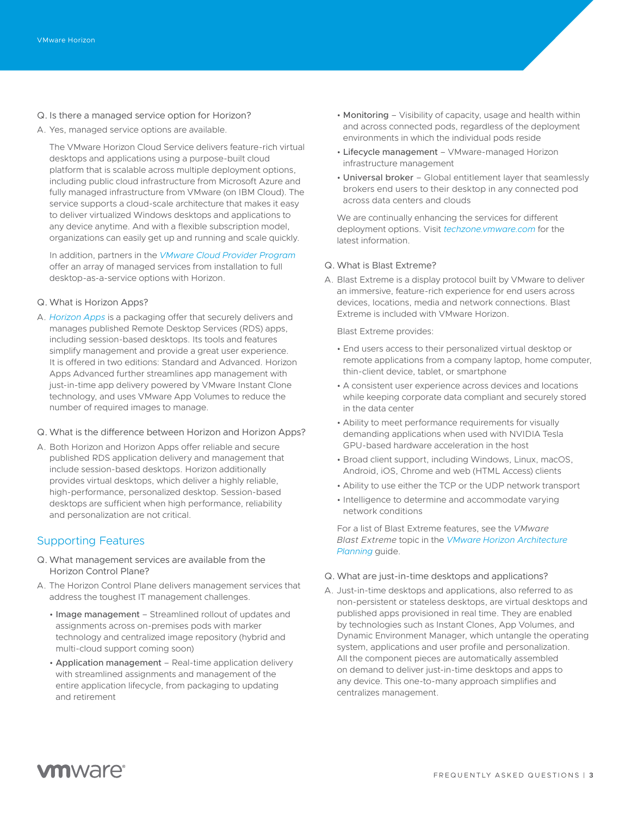- Q. Is there a managed service option for Horizon?
- A. Yes, managed service options are available.

The VMware Horizon Cloud Service delivers feature-rich virtual desktops and applications using a purpose-built cloud platform that is scalable across multiple deployment options, including public cloud infrastructure from Microsoft Azure and fully managed infrastructure from VMware (on IBM Cloud). The service supports a cloud-scale architecture that makes it easy to deliver virtualized Windows desktops and applications to any device anytime. And with a flexible subscription model, organizations can easily get up and running and scale quickly.

In addition, partners in the *[VMware Cloud Provider Program](https://www.vmware.com/partners/service-provider.html)* offer an array of managed services from installation to full desktop-as-a-service options with Horizon.

## Q. What is Horizon Apps?

- A. *[Horizon Apps](https://www.vmware.com/products/horizon-apps.html)* is a packaging offer that securely delivers and manages published Remote Desktop Services (RDS) apps, including session-based desktops. Its tools and features simplify management and provide a great user experience. It is offered in two editions: Standard and Advanced. Horizon Apps Advanced further streamlines app management with just-in-time app delivery powered by VMware Instant Clone technology, and uses VMware App Volumes to reduce the number of required images to manage.
- Q. What is the difference between Horizon and Horizon Apps?
- A. Both Horizon and Horizon Apps offer reliable and secure published RDS application delivery and management that include session-based desktops. Horizon additionally provides virtual desktops, which deliver a highly reliable, high-performance, personalized desktop. Session-based desktops are sufficient when high performance, reliability and personalization are not critical.

## Supporting Features

- Q. What management services are available from the Horizon Control Plane?
- A. The Horizon Control Plane delivers management services that address the toughest IT management challenges.
	- Image management Streamlined rollout of updates and assignments across on-premises pods with marker technology and centralized image repository (hybrid and multi-cloud support coming soon)
	- Application management Real-time application delivery with streamlined assignments and management of the entire application lifecycle, from packaging to updating and retirement
- Monitoring Visibility of capacity, usage and health within and across connected pods, regardless of the deployment environments in which the individual pods reside
- Lifecycle management VMware-managed Horizon infrastructure management
- Universal broker Global entitlement layer that seamlessly brokers end users to their desktop in any connected pod across data centers and clouds

We are continually enhancing the services for different deployment options. Visit *[techzone.vmware.com](https://techzone.vmware.com/resource/horizon)* for the latest information.

#### Q. What is Blast Extreme?

A. Blast Extreme is a display protocol built by VMware to deliver an immersive, feature-rich experience for end users across devices, locations, media and network connections. Blast Extreme is included with VMware Horizon.

Blast Extreme provides:

- End users access to their personalized virtual desktop or remote applications from a company laptop, home computer, thin-client device, tablet, or smartphone
- A consistent user experience across devices and locations while keeping corporate data compliant and securely stored in the data center
- Ability to meet performance requirements for visually demanding applications when used with NVIDIA Tesla GPU-based hardware acceleration in the host
- Broad client support, including Windows, Linux, macOS, Android, iOS, Chrome and web (HTML Access) clients
- Ability to use either the TCP or the UDP network transport
- Intelligence to determine and accommodate varying network conditions

For a list of Blast Extreme features, see the *VMware Blast Extreme* topic in the *[VMware Horizon Architecture](https://docs.vmware.com/en/VMware-Horizon-7/7.11/horizon-architecture-planning/GUID-F64BAD49-78A0-44FE-97EA-76A56FD022D6.html)  [Planning](https://docs.vmware.com/en/VMware-Horizon-7/7.11/horizon-architecture-planning/GUID-F64BAD49-78A0-44FE-97EA-76A56FD022D6.html)* guide.

## Q. What are just-in-time desktops and applications?

A. Just-in-time desktops and applications, also referred to as non-persistent or stateless desktops, are virtual desktops and published apps provisioned in real time. They are enabled by technologies such as Instant Clones, App Volumes, and Dynamic Environment Manager, which untangle the operating system, applications and user profile and personalization. All the component pieces are automatically assembled on demand to deliver just-in-time desktops and apps to any device. This one-to-many approach simplifies and centralizes management.

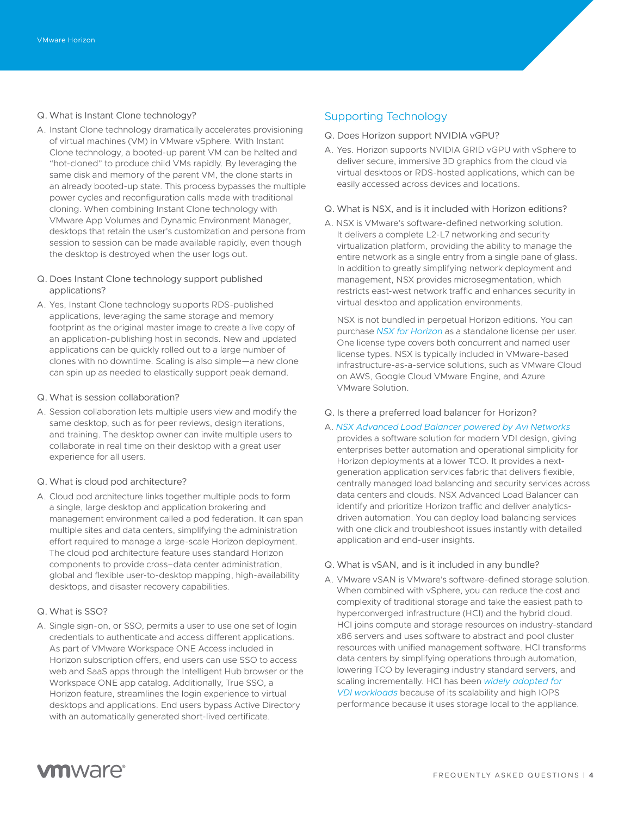## Q. What is Instant Clone technology?

- A. Instant Clone technology dramatically accelerates provisioning of virtual machines (VM) in VMware vSphere. With Instant Clone technology, a booted-up parent VM can be halted and "hot-cloned" to produce child VMs rapidly. By leveraging the same disk and memory of the parent VM, the clone starts in an already booted-up state. This process bypasses the multiple power cycles and reconfiguration calls made with traditional cloning. When combining Instant Clone technology with VMware App Volumes and Dynamic Environment Manager, desktops that retain the user's customization and persona from session to session can be made available rapidly, even though the desktop is destroyed when the user logs out.
- Q. Does Instant Clone technology support published applications?
- A. Yes, Instant Clone technology supports RDS-published applications, leveraging the same storage and memory footprint as the original master image to create a live copy of an application-publishing host in seconds. New and updated applications can be quickly rolled out to a large number of clones with no downtime. Scaling is also simple—a new clone can spin up as needed to elastically support peak demand.
- Q. What is session collaboration?
- A. Session collaboration lets multiple users view and modify the same desktop, such as for peer reviews, design iterations, and training. The desktop owner can invite multiple users to collaborate in real time on their desktop with a great user experience for all users.
- Q. What is cloud pod architecture?
- A. Cloud pod architecture links together multiple pods to form a single, large desktop and application brokering and management environment called a pod federation. It can span multiple sites and data centers, simplifying the administration effort required to manage a large-scale Horizon deployment. The cloud pod architecture feature uses standard Horizon components to provide cross–data center administration, global and flexible user-to-desktop mapping, high-availability desktops, and disaster recovery capabilities.

## Q. What is SSO?

A. Single sign-on, or SSO, permits a user to use one set of login credentials to authenticate and access different applications. As part of VMware Workspace ONE Access included in Horizon subscription offers, end users can use SSO to access web and SaaS apps through the Intelligent Hub browser or the Workspace ONE app catalog. Additionally, True SSO, a Horizon feature, streamlines the login experience to virtual desktops and applications. End users bypass Active Directory with an automatically generated short-lived certificate.

## Supporting Technology

- Q. Does Horizon support NVIDIA vGPU?
- A. Yes. Horizon supports NVIDIA GRID vGPU with vSphere to deliver secure, immersive 3D graphics from the cloud via virtual desktops or RDS-hosted applications, which can be easily accessed across devices and locations.
- Q. What is NSX, and is it included with Horizon editions?
- A. NSX is VMware's software-defined networking solution. It delivers a complete L2-L7 networking and security virtualization platform, providing the ability to manage the entire network as a single entry from a single pane of glass. In addition to greatly simplifying network deployment and management, NSX provides microsegmentation, which restricts east-west network traffic and enhances security in virtual desktop and application environments.

NSX is not bundled in perpetual Horizon editions. You can purchase *[NSX for Horizon](https://www.vmware.com/products/horizon/horizon-nsx.html)* as a standalone license per user. One license type covers both concurrent and named user license types. NSX is typically included in VMware-based infrastructure-as-a-service solutions, such as VMware Cloud on AWS, Google Cloud VMware Engine, and Azure VMware Solution.

- Q. Is there a preferred load balancer for Horizon?
- A. *[NSX Advanced Load Balancer powered by Avi Networks](https://www.vmware.com/products/nsx-advanced-load-balancer.html)* provides a software solution for modern VDI design, giving enterprises better automation and operational simplicity for Horizon deployments at a lower TCO. It provides a nextgeneration application services fabric that delivers flexible, centrally managed load balancing and security services across data centers and clouds. NSX Advanced Load Balancer can identify and prioritize Horizon traffic and deliver analyticsdriven automation. You can deploy load balancing services with one click and troubleshoot issues instantly with detailed application and end-user insights.
- Q. What is vSAN, and is it included in any bundle?
- A. VMware vSAN is VMware's software-defined storage solution. When combined with vSphere, you can reduce the cost and complexity of traditional storage and take the easiest path to hyperconverged infrastructure (HCI) and the hybrid cloud. HCI joins compute and storage resources on industry-standard x86 servers and uses software to abstract and pool cluster resources with unified management software. HCI transforms data centers by simplifying operations through automation, lowering TCO by leveraging industry standard servers, and scaling incrementally. HCI has been *[widely adopted for](https://www.vmware.com/content/dam/digitalmarketing/vmware/en/pdf/products/horizon/vmw-solution-brief-vsan-and-horizon.pdf)  [VDI workloads](https://www.vmware.com/content/dam/digitalmarketing/vmware/en/pdf/products/horizon/vmw-solution-brief-vsan-and-horizon.pdf)* because of its scalability and high IOPS performance because it uses storage local to the appliance.

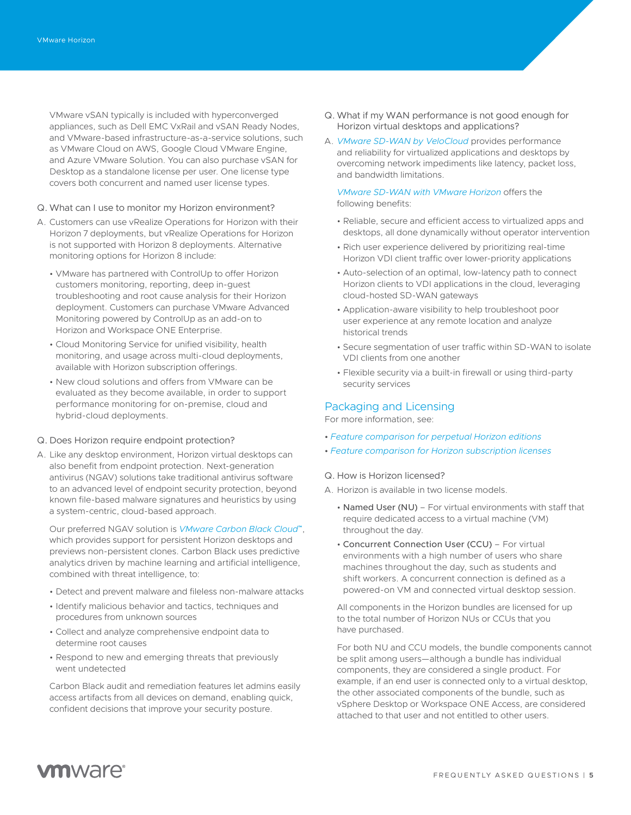VMware vSAN typically is included with hyperconverged appliances, such as Dell EMC VxRail and vSAN Ready Nodes, and VMware-based infrastructure-as-a-service solutions, such as VMware Cloud on AWS, Google Cloud VMware Engine, and Azure VMware Solution. You can also purchase vSAN for Desktop as a standalone license per user. One license type covers both concurrent and named user license types.

- Q. What can I use to monitor my Horizon environment?
- A. Customers can use vRealize Operations for Horizon with their Horizon 7 deployments, but vRealize Operations for Horizon is not supported with Horizon 8 deployments. Alternative monitoring options for Horizon 8 include:
	- VMware has partnered with ControlUp to offer Horizon customers monitoring, reporting, deep in-guest troubleshooting and root cause analysis for their Horizon deployment. Customers can purchase VMware Advanced Monitoring powered by ControlUp as an add-on to Horizon and Workspace ONE Enterprise.
	- Cloud Monitoring Service for unified visibility, health monitoring, and usage across multi-cloud deployments, available with Horizon subscription offerings.
	- New cloud solutions and offers from VMware can be evaluated as they become available, in order to support performance monitoring for on-premise, cloud and hybrid-cloud deployments.

#### Q. Does Horizon require endpoint protection?

A. Like any desktop environment, Horizon virtual desktops can also benefit from endpoint protection. Next-generation antivirus (NGAV) solutions take traditional antivirus software to an advanced level of endpoint security protection, beyond known file-based malware signatures and heuristics by using a system-centric, cloud-based approach.

Our preferred NGAV solution is *[VMware Carbon Black Cloud](https://www.carbonblack.com/)*™, which provides support for persistent Horizon desktops and previews non-persistent clones. Carbon Black uses predictive analytics driven by machine learning and artificial intelligence, combined with threat intelligence, to:

- Detect and prevent malware and fileless non-malware attacks
- Identify malicious behavior and tactics, techniques and procedures from unknown sources
- Collect and analyze comprehensive endpoint data to determine root causes
- Respond to new and emerging threats that previously went undetected

Carbon Black audit and remediation features let admins easily access artifacts from all devices on demand, enabling quick, confident decisions that improve your security posture.

- Q. What if my WAN performance is not good enough for Horizon virtual desktops and applications?
- A. *[VMware SD-WAN by VeloCloud](http://www.velocloud.com/)* provides performance and reliability for virtualized applications and desktops by overcoming network impediments like latency, packet loss, and bandwidth limitations.

*[VMware SD-WAN with VMware Horizon](http://wan.velocloud.com/rs/098-RBR-178/images/sdwan-820-get-high-performance-for-vmware-horizon-using-vmware-sdwan-so-0220.pdf)* offers the following benefits:

- Reliable, secure and efficient access to virtualized apps and desktops, all done dynamically without operator intervention
- Rich user experience delivered by prioritizing real-time Horizon VDI client traffic over lower-priority applications
- Auto-selection of an optimal, low-latency path to connect Horizon clients to VDI applications in the cloud, leveraging cloud-hosted SD-WAN gateways
- Application-aware visibility to help troubleshoot poor user experience at any remote location and analyze historical trends
- Secure segmentation of user traffic within SD-WAN to isolate VDI clients from one another
- Flexible security via a built-in firewall or using third-party security services

#### Packaging and Licensing

For more information, see:

- *[Feature comparison for perpetual Horizon editions](https://www.vmware.com/content/dam/digitalmarketing/vmware/en/pdf/products/horizon/vmware-horizon-editions-compare-chart.pdf?src=WWW_HrzOld_Compare_FeatureComparison)*
- *[Feature comparison for Horizon subscription licenses](https://www.vmware.com/content/dam/digitalmarketing/vmware/en/pdf/products/horizon/vmware-horizon-cloud-and-horizon7-comparison-matrix.pdf)*
- Q. How is Horizon licensed?
- A. Horizon is available in two license models.
	- Named User (NU) For virtual environments with staff that require dedicated access to a virtual machine (VM) throughout the day.
	- Concurrent Connection User (CCU) For virtual environments with a high number of users who share machines throughout the day, such as students and shift workers. A concurrent connection is defined as a powered-on VM and connected virtual desktop session.

All components in the Horizon bundles are licensed for up to the total number of Horizon NUs or CCUs that you have purchased.

For both NU and CCU models, the bundle components cannot be split among users—although a bundle has individual components, they are considered a single product. For example, if an end user is connected only to a virtual desktop, the other associated components of the bundle, such as vSphere Desktop or Workspace ONE Access, are considered attached to that user and not entitled to other users.

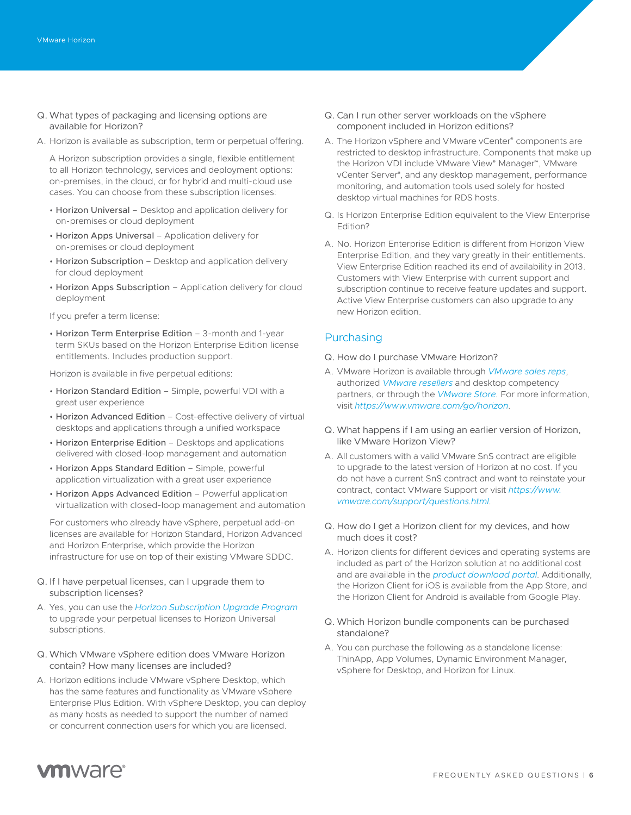- Q. What types of packaging and licensing options are available for Horizon?
- A. Horizon is available as subscription, term or perpetual offering.

A Horizon subscription provides a single, flexible entitlement to all Horizon technology, services and deployment options: on-premises, in the cloud, or for hybrid and multi-cloud use cases. You can choose from these subscription licenses:

- Horizon Universal Desktop and application delivery for on-premises or cloud deployment
- Horizon Apps Universal Application delivery for on-premises or cloud deployment
- Horizon Subscription Desktop and application delivery for cloud deployment
- Horizon Apps Subscription Application delivery for cloud deployment

If you prefer a term license:

• Horizon Term Enterprise Edition – 3-month and 1-year term SKUs based on the Horizon Enterprise Edition license entitlements. Includes production support.

Horizon is available in five perpetual editions:

- Horizon Standard Edition Simple, powerful VDI with a great user experience
- Horizon Advanced Edition Cost-effective delivery of virtual desktops and applications through a unified workspace
- Horizon Enterprise Edition Desktops and applications delivered with closed-loop management and automation
- Horizon Apps Standard Edition Simple, powerful application virtualization with a great user experience
- Horizon Apps Advanced Edition Powerful application virtualization with closed-loop management and automation

For customers who already have vSphere, perpetual add-on licenses are available for Horizon Standard, Horizon Advanced and Horizon Enterprise, which provide the Horizon infrastructure for use on top of their existing VMware SDDC.

- Q. If I have perpetual licenses, can I upgrade them to subscription licenses?
- A. Yes, you can use the *[Horizon Subscription Upgrade Program](https://www.vmware.com/promotions/2019-subscription-upgrade-program-horizon.html)* to upgrade your perpetual licenses to Horizon Universal subscriptions.
- Q. Which VMware vSphere edition does VMware Horizon contain? How many licenses are included?
- A. Horizon editions include VMware vSphere Desktop, which has the same features and functionality as VMware vSphere Enterprise Plus Edition. With vSphere Desktop, you can deploy as many hosts as needed to support the number of named or concurrent connection users for which you are licensed.
- Q. Can I run other server workloads on the vSphere component included in Horizon editions?
- A. The Horizon vSphere and VMware vCenter® components are restricted to desktop infrastructure. Components that make up the Horizon VDI include VMware View® Manager™, VMware vCenter Server® , and any desktop management, performance monitoring, and automation tools used solely for hosted desktop virtual machines for RDS hosts.
- Q. Is Horizon Enterprise Edition equivalent to the View Enterprise Edition?
- A. No. Horizon Enterprise Edition is different from Horizon View Enterprise Edition, and they vary greatly in their entitlements. View Enterprise Edition reached its end of availability in 2013. Customers with View Enterprise with current support and subscription continue to receive feature updates and support. Active View Enterprise customers can also upgrade to any new Horizon edition.

## Purchasing

- Q. How do I purchase VMware Horizon?
- A. VMware Horizon is available through *[VMware sales reps](https://www.vmware.com/company/contact_sales.html)*, authorized *[VMware resellers](https://partnerlocator.vmware.com/#sort=relevancy)* and desktop competency partners, or through the *[VMware Store](https://store-us.vmware.com/)*. For more information, visit *<https://www.vmware.com/go/horizon>*.
- Q. What happens if I am using an earlier version of Horizon, like VMware Horizon View?
- A. All customers with a valid VMware SnS contract are eligible to upgrade to the latest version of Horizon at no cost. If you do not have a current SnS contract and want to reinstate your contract, contact VMware Support or visit *[https://www.](https://www.vmware.com/support/questions.html) [vmware.com/support/questions.html](https://www.vmware.com/support/questions.html)*.
- Q. How do I get a Horizon client for my devices, and how much does it cost?
- A. Horizon clients for different devices and operating systems are included as part of the Horizon solution at no additional cost and are available in the *[product download portal](https://my.vmware.com/en/web/vmware/downloads/info/slug/desktop_end_user_computing/vmware_horizon_clients/5_0)*. Additionally, the Horizon Client for iOS is available from the App Store, and the Horizon Client for Android is available from Google Play.
- Q. Which Horizon bundle components can be purchased standalone?
- A. You can purchase the following as a standalone license: ThinApp, App Volumes, Dynamic Environment Manager, vSphere for Desktop, and Horizon for Linux.

## **vm**ware<sup>®</sup>